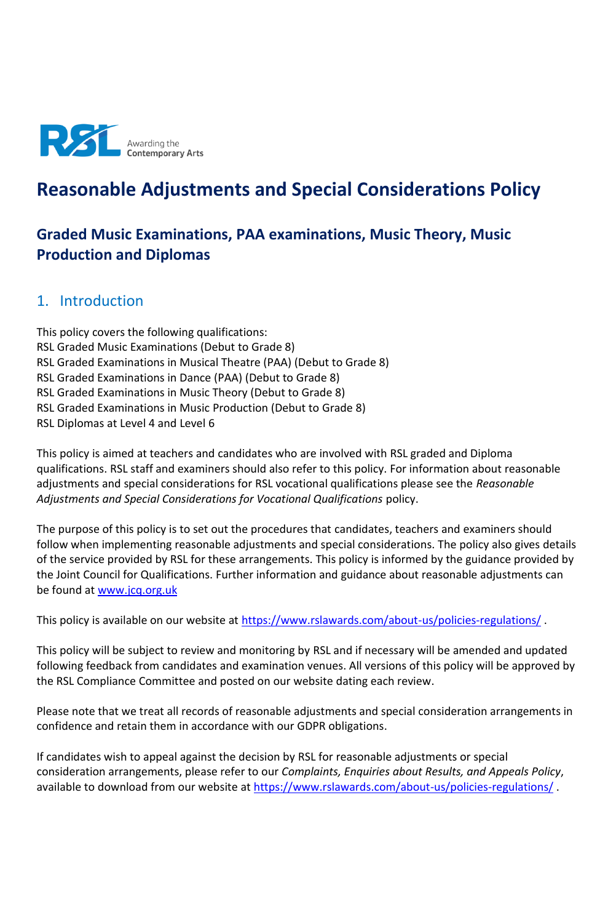

# **Reasonable Adjustments and Special Considerations Policy**

# **Graded Music Examinations, PAA examinations, Music Theory, Music Production and Diplomas**

## 1. Introduction

This policy covers the following qualifications: RSL Graded Music Examinations (Debut to Grade 8) RSL Graded Examinations in Musical Theatre (PAA) (Debut to Grade 8) RSL Graded Examinations in Dance (PAA) (Debut to Grade 8) RSL Graded Examinations in Music Theory (Debut to Grade 8) RSL Graded Examinations in Music Production (Debut to Grade 8) RSL Diplomas at Level 4 and Level 6

This policy is aimed at teachers and candidates who are involved with RSL graded and Diploma qualifications. RSL staff and examiners should also refer to this policy. For information about reasonable adjustments and special considerations for RSL vocational qualifications please see the *Reasonable Adjustments and Special Considerations for Vocational Qualifications* policy.

The purpose of this policy is to set out the procedures that candidates, teachers and examiners should follow when implementing reasonable adjustments and special considerations. The policy also gives details of the service provided by RSL for these arrangements. This policy is informed by the guidance provided by the Joint Council for Qualifications. Further information and guidance about reasonable adjustments can be found at [www.jcq.org.uk](http://www.jcq.org.uk/)

This policy is available on our website at<https://www.rslawards.com/about-us/policies-regulations/>.

This policy will be subject to review and monitoring by RSL and if necessary will be amended and updated following feedback from candidates and examination venues. All versions of this policy will be approved by the RSL Compliance Committee and posted on our website dating each review.

Please note that we treat all records of reasonable adjustments and special consideration arrangements in confidence and retain them in accordance with our GDPR obligations.

If candidates wish to appeal against the decision by RSL for reasonable adjustments or special consideration arrangements, please refer to our *Complaints, Enquiries about Results, and Appeals Policy*, available to download from our website at<https://www.rslawards.com/about-us/policies-regulations/>.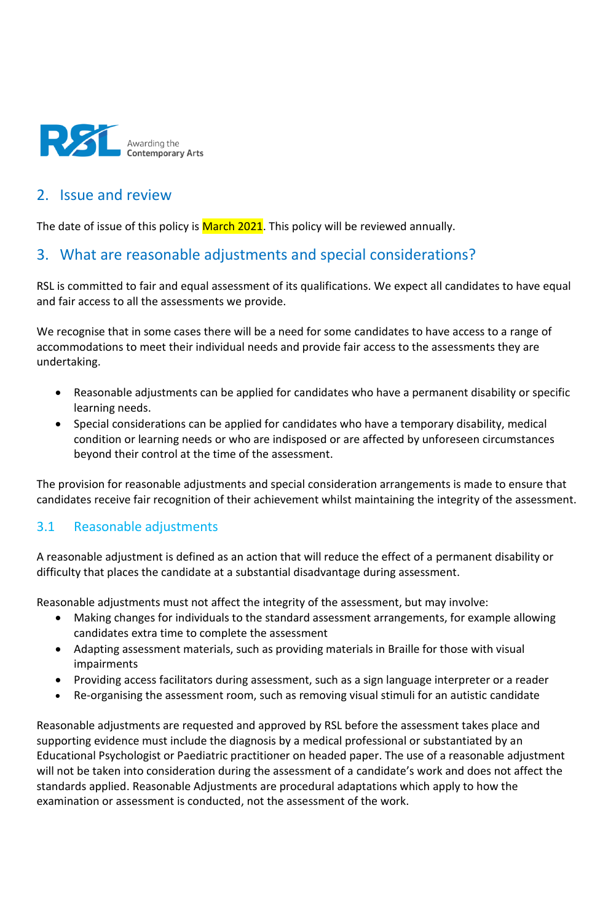

## 2. Issue and review

The date of issue of this policy is March 2021. This policy will be reviewed annually.

## 3. What are reasonable adjustments and special considerations?

RSL is committed to fair and equal assessment of its qualifications. We expect all candidates to have equal and fair access to all the assessments we provide.

We recognise that in some cases there will be a need for some candidates to have access to a range of accommodations to meet their individual needs and provide fair access to the assessments they are undertaking.

- Reasonable adjustments can be applied for candidates who have a permanent disability or specific learning needs.
- Special considerations can be applied for candidates who have a temporary disability, medical condition or learning needs or who are indisposed or are affected by unforeseen circumstances beyond their control at the time of the assessment.

The provision for reasonable adjustments and special consideration arrangements is made to ensure that candidates receive fair recognition of their achievement whilst maintaining the integrity of the assessment.

## 3.1 Reasonable adjustments

A reasonable adjustment is defined as an action that will reduce the effect of a permanent disability or difficulty that places the candidate at a substantial disadvantage during assessment.

Reasonable adjustments must not affect the integrity of the assessment, but may involve:

- Making changes for individuals to the standard assessment arrangements, for example allowing candidates extra time to complete the assessment
- Adapting assessment materials, such as providing materials in Braille for those with visual impairments
- Providing access facilitators during assessment, such as a sign language interpreter or a reader
- Re-organising the assessment room, such as removing visual stimuli for an autistic candidate

Reasonable adjustments are requested and approved by RSL before the assessment takes place and supporting evidence must include the diagnosis by a medical professional or substantiated by an Educational Psychologist or Paediatric practitioner on headed paper. The use of a reasonable adjustment will not be taken into consideration during the assessment of a candidate's work and does not affect the standards applied. Reasonable Adjustments are procedural adaptations which apply to how the examination or assessment is conducted, not the assessment of the work.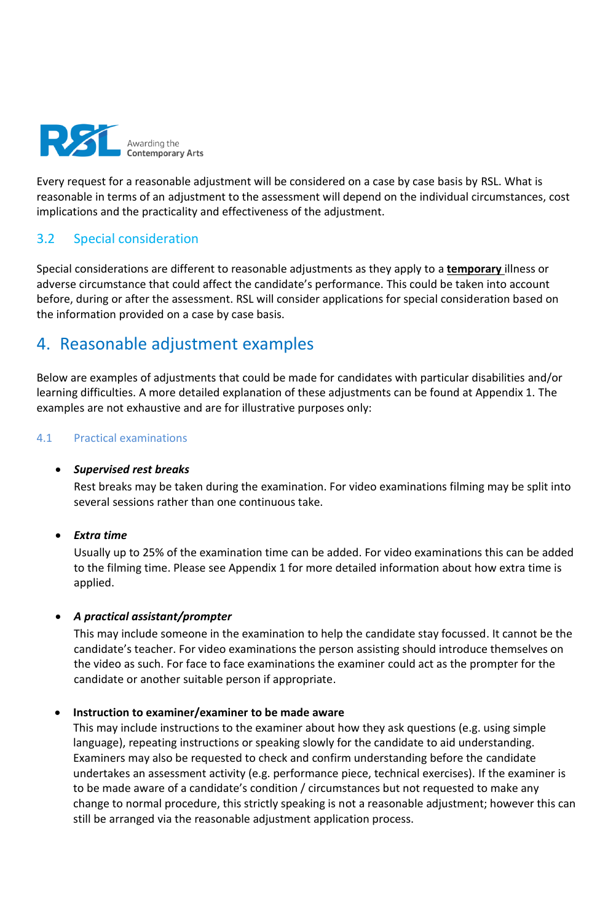

Every request for a reasonable adjustment will be considered on a case by case basis by RSL. What is reasonable in terms of an adjustment to the assessment will depend on the individual circumstances, cost implications and the practicality and effectiveness of the adjustment.

## 3.2 Special consideration

Special considerations are different to reasonable adjustments as they apply to a **temporary** illness or adverse circumstance that could affect the candidate's performance. This could be taken into account before, during or after the assessment. RSL will consider applications for special consideration based on the information provided on a case by case basis.

# 4. Reasonable adjustment examples

Below are examples of adjustments that could be made for candidates with particular disabilities and/or learning difficulties. A more detailed explanation of these adjustments can be found at Appendix 1. The examples are not exhaustive and are for illustrative purposes only:

## 4.1 Practical examinations

## • *Supervised rest breaks*

Rest breaks may be taken during the examination. For video examinations filming may be split into several sessions rather than one continuous take.

## • *Extra time*

Usually up to 25% of the examination time can be added. For video examinations this can be added to the filming time. Please see Appendix 1 for more detailed information about how extra time is applied.

## • *A practical assistant/prompter*

This may include someone in the examination to help the candidate stay focussed. It cannot be the candidate's teacher. For video examinations the person assisting should introduce themselves on the video as such. For face to face examinations the examiner could act as the prompter for the candidate or another suitable person if appropriate.

### • **Instruction to examiner/examiner to be made aware**

This may include instructions to the examiner about how they ask questions (e.g. using simple language), repeating instructions or speaking slowly for the candidate to aid understanding. Examiners may also be requested to check and confirm understanding before the candidate undertakes an assessment activity (e.g. performance piece, technical exercises). If the examiner is to be made aware of a candidate's condition / circumstances but not requested to make any change to normal procedure, this strictly speaking is not a reasonable adjustment; however this can still be arranged via the reasonable adjustment application process.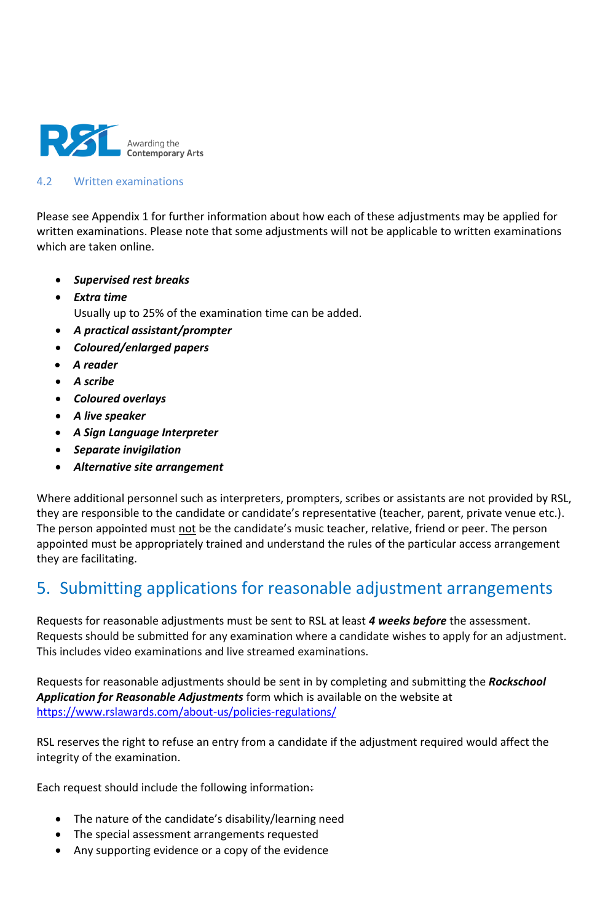

### 4.2 Written examinations

Please see Appendix 1 for further information about how each of these adjustments may be applied for written examinations. Please note that some adjustments will not be applicable to written examinations which are taken online.

- *Supervised rest breaks*
- *Extra time* Usually up to 25% of the examination time can be added.
- *A practical assistant/prompter*
- *Coloured/enlarged papers*
- *A reader*
- *A scribe*
- *Coloured overlays*
- *A live speaker*
- *A Sign Language Interpreter*
- *Separate invigilation*
- *Alternative site arrangement*

Where additional personnel such as interpreters, prompters, scribes or assistants are not provided by RSL, they are responsible to the candidate or candidate's representative (teacher, parent, private venue etc.). The person appointed must not be the candidate's music teacher, relative, friend or peer. The person appointed must be appropriately trained and understand the rules of the particular access arrangement they are facilitating.

# 5. Submitting applications for reasonable adjustment arrangements

Requests for reasonable adjustments must be sent to RSL at least *4 weeks before* the assessment. Requests should be submitted for any examination where a candidate wishes to apply for an adjustment. This includes video examinations and live streamed examinations.

Requests for reasonable adjustments should be sent in by completing and submitting the *Rockschool Application for Reasonable Adjustments* form which is available on the website at <https://www.rslawards.com/about-us/policies-regulations/>

RSL reserves the right to refuse an entry from a candidate if the adjustment required would affect the integrity of the examination.

Each request should include the following information:

- The nature of the candidate's disability/learning need
- The special assessment arrangements requested
- Any supporting evidence or a copy of the evidence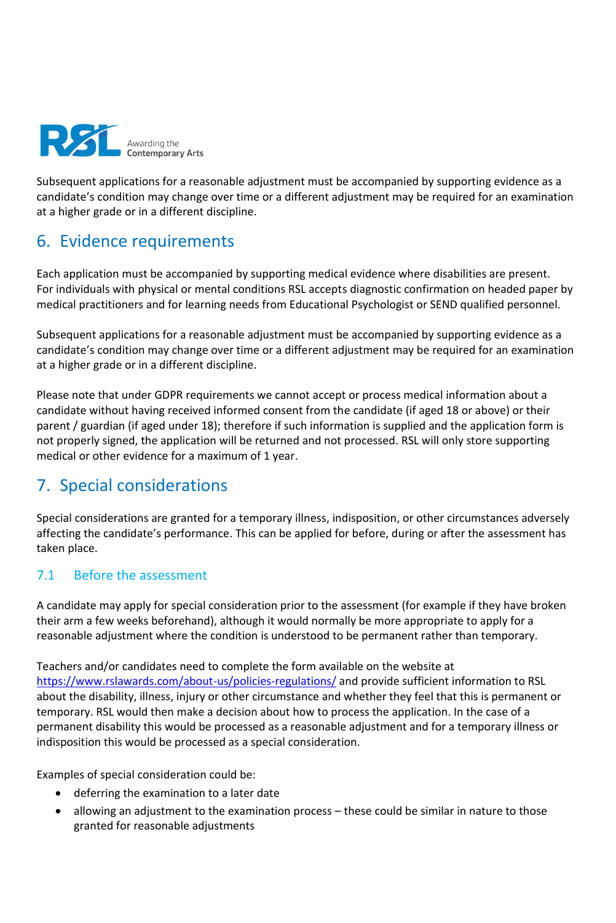

Subsequent applications for a reasonable adjustment must be accompanied by supporting evidence as a candidate's condition may change over time or a different adjustment may be required for an examination at a higher grade or in a different discipline.

# 6. Evidence requirements

Each application must be accompanied by supporting medical evidence where disabilities are present. For individuals with physical or mental conditions RSL accepts diagnostic confirmation on headed paper by medical practitioners and for learning needs from Educational Psychologist or SEND qualified personnel.

Subsequent applications for a reasonable adjustment must be accompanied by supporting evidence as a candidate's condition may change over time or a different adjustment may be required for an examination at a higher grade or in a different discipline.

Please note that under GDPR requirements we cannot accept or process medical information about a candidate without having received informed consent from the candidate (if aged 18 or above) or their parent / guardian (if aged under 18); therefore if such information is supplied and the application form is not properly signed, the application will be returned and not processed. RSL will only store supporting medical or other evidence for a maximum of 1 year.

# 7. Special considerations

Special considerations are granted for a temporary illness, indisposition, or other circumstances adversely affecting the candidate's performance. This can be applied for before, during or after the assessment has taken place.

## 7.1 Before the assessment

A candidate may apply for special consideration prior to the assessment (for example if they have broken their arm a few weeks beforehand), although it would normally be more appropriate to apply for a reasonable adjustment where the condition is understood to be permanent rather than temporary.

Teachers and/or candidates need to complete the form available on the website at <https://www.rslawards.com/about-us/policies-regulations/> and provide sufficient information to RSL about the disability, illness, injury or other circumstance and whether they feel that this is permanent or temporary. RSL would then make a decision about how to process the application. In the case of a permanent disability this would be processed as a reasonable adjustment and for a temporary illness or indisposition this would be processed as a special consideration.

Examples of special consideration could be:

- deferring the examination to a later date
- allowing an adjustment to the examination process these could be similar in nature to those granted for reasonable adjustments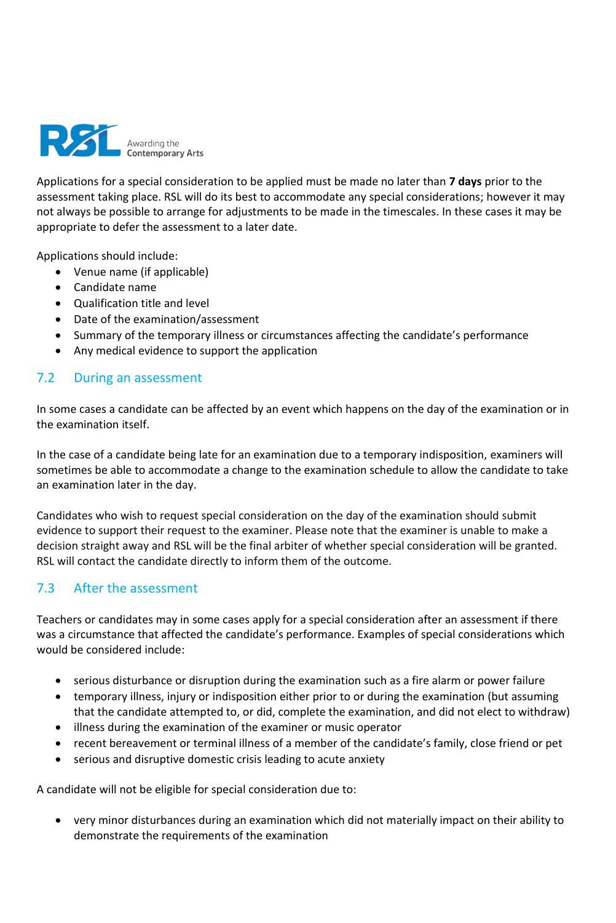

Applications for a special consideration to be applied must be made no later than **7 days** prior to the assessment taking place. RSL will do its best to accommodate any special considerations; however it may not always be possible to arrange for adjustments to be made in the timescales. In these cases it may be appropriate to defer the assessment to a later date.

Applications should include:

- Venue name (if applicable)
- Candidate name
- Qualification title and level
- Date of the examination/assessment
- Summary of the temporary illness or circumstances affecting the candidate's performance
- Any medical evidence to support the application

## 7.2 During an assessment

In some cases a candidate can be affected by an event which happens on the day of the examination or in the examination itself.

In the case of a candidate being late for an examination due to a temporary indisposition, examiners will sometimes be able to accommodate a change to the examination schedule to allow the candidate to take an examination later in the day.

Candidates who wish to request special consideration on the day of the examination should submit evidence to support their request to the examiner. Please note that the examiner is unable to make a decision straight away and RSL will be the final arbiter of whether special consideration will be granted. RSL will contact the candidate directly to inform them of the outcome.

## 7.3 After the assessment

Teachers or candidates may in some cases apply for a special consideration after an assessment if there was a circumstance that affected the candidate's performance. Examples of special considerations which would be considered include:

- serious disturbance or disruption during the examination such as a fire alarm or power failure
- temporary illness, injury or indisposition either prior to or during the examination (but assuming that the candidate attempted to, or did, complete the examination, and did not elect to withdraw)
- illness during the examination of the examiner or music operator
- recent bereavement or terminal illness of a member of the candidate's family, close friend or pet
- serious and disruptive domestic crisis leading to acute anxiety

A candidate will not be eligible for special consideration due to:

• very minor disturbances during an examination which did not materially impact on their ability to demonstrate the requirements of the examination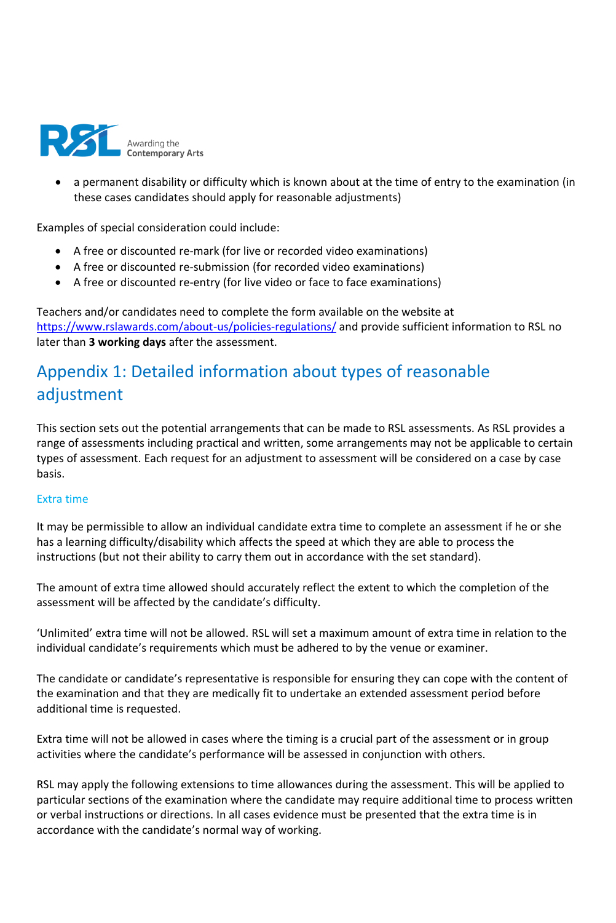

• a permanent disability or difficulty which is known about at the time of entry to the examination (in these cases candidates should apply for reasonable adjustments)

Examples of special consideration could include:

- A free or discounted re-mark (for live or recorded video examinations)
- A free or discounted re-submission (for recorded video examinations)
- A free or discounted re-entry (for live video or face to face examinations)

Teachers and/or candidates need to complete the form available on the website at <https://www.rslawards.com/about-us/policies-regulations/> and provide sufficient information to RSL no later than **3 working days** after the assessment.

# Appendix 1: Detailed information about types of reasonable adjustment

This section sets out the potential arrangements that can be made to RSL assessments. As RSL provides a range of assessments including practical and written, some arrangements may not be applicable to certain types of assessment. Each request for an adjustment to assessment will be considered on a case by case basis.

## Extra time

It may be permissible to allow an individual candidate extra time to complete an assessment if he or she has a learning difficulty/disability which affects the speed at which they are able to process the instructions (but not their ability to carry them out in accordance with the set standard).

The amount of extra time allowed should accurately reflect the extent to which the completion of the assessment will be affected by the candidate's difficulty.

'Unlimited' extra time will not be allowed. RSL will set a maximum amount of extra time in relation to the individual candidate's requirements which must be adhered to by the venue or examiner.

The candidate or candidate's representative is responsible for ensuring they can cope with the content of the examination and that they are medically fit to undertake an extended assessment period before additional time is requested.

Extra time will not be allowed in cases where the timing is a crucial part of the assessment or in group activities where the candidate's performance will be assessed in conjunction with others.

RSL may apply the following extensions to time allowances during the assessment. This will be applied to particular sections of the examination where the candidate may require additional time to process written or verbal instructions or directions. In all cases evidence must be presented that the extra time is in accordance with the candidate's normal way of working.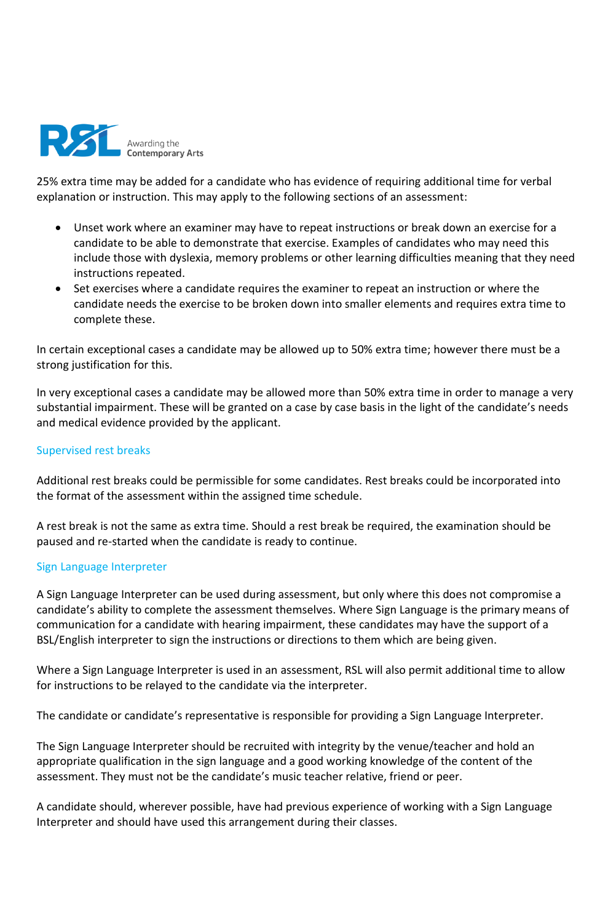

25% extra time may be added for a candidate who has evidence of requiring additional time for verbal explanation or instruction. This may apply to the following sections of an assessment:

- Unset work where an examiner may have to repeat instructions or break down an exercise for a candidate to be able to demonstrate that exercise. Examples of candidates who may need this include those with dyslexia, memory problems or other learning difficulties meaning that they need instructions repeated.
- Set exercises where a candidate requires the examiner to repeat an instruction or where the candidate needs the exercise to be broken down into smaller elements and requires extra time to complete these.

In certain exceptional cases a candidate may be allowed up to 50% extra time; however there must be a strong justification for this.

In very exceptional cases a candidate may be allowed more than 50% extra time in order to manage a very substantial impairment. These will be granted on a case by case basis in the light of the candidate's needs and medical evidence provided by the applicant.

### Supervised rest breaks

Additional rest breaks could be permissible for some candidates. Rest breaks could be incorporated into the format of the assessment within the assigned time schedule.

A rest break is not the same as extra time. Should a rest break be required, the examination should be paused and re-started when the candidate is ready to continue.

### Sign Language Interpreter

A Sign Language Interpreter can be used during assessment, but only where this does not compromise a candidate's ability to complete the assessment themselves. Where Sign Language is the primary means of communication for a candidate with hearing impairment, these candidates may have the support of a BSL/English interpreter to sign the instructions or directions to them which are being given.

Where a Sign Language Interpreter is used in an assessment, RSL will also permit additional time to allow for instructions to be relayed to the candidate via the interpreter.

The candidate or candidate's representative is responsible for providing a Sign Language Interpreter.

The Sign Language Interpreter should be recruited with integrity by the venue/teacher and hold an appropriate qualification in the sign language and a good working knowledge of the content of the assessment. They must not be the candidate's music teacher relative, friend or peer.

A candidate should, wherever possible, have had previous experience of working with a Sign Language Interpreter and should have used this arrangement during their classes.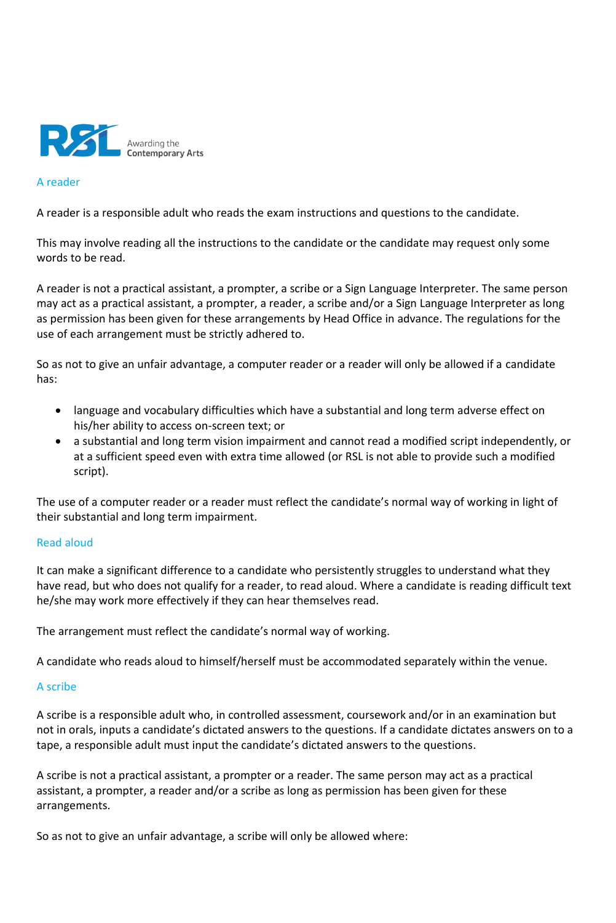

#### A reader

A reader is a responsible adult who reads the exam instructions and questions to the candidate.

This may involve reading all the instructions to the candidate or the candidate may request only some words to be read.

A reader is not a practical assistant, a prompter, a scribe or a Sign Language Interpreter. The same person may act as a practical assistant, a prompter, a reader, a scribe and/or a Sign Language Interpreter as long as permission has been given for these arrangements by Head Office in advance. The regulations for the use of each arrangement must be strictly adhered to.

So as not to give an unfair advantage, a computer reader or a reader will only be allowed if a candidate has:

- language and vocabulary difficulties which have a substantial and long term adverse effect on his/her ability to access on-screen text; or
- a substantial and long term vision impairment and cannot read a modified script independently, or at a sufficient speed even with extra time allowed (or RSL is not able to provide such a modified script).

The use of a computer reader or a reader must reflect the candidate's normal way of working in light of their substantial and long term impairment.

### Read aloud

It can make a significant difference to a candidate who persistently struggles to understand what they have read, but who does not qualify for a reader, to read aloud. Where a candidate is reading difficult text he/she may work more effectively if they can hear themselves read.

The arrangement must reflect the candidate's normal way of working.

A candidate who reads aloud to himself/herself must be accommodated separately within the venue.

### A scribe

A scribe is a responsible adult who, in controlled assessment, coursework and/or in an examination but not in orals, inputs a candidate's dictated answers to the questions. If a candidate dictates answers on to a tape, a responsible adult must input the candidate's dictated answers to the questions.

A scribe is not a practical assistant, a prompter or a reader. The same person may act as a practical assistant, a prompter, a reader and/or a scribe as long as permission has been given for these arrangements.

So as not to give an unfair advantage, a scribe will only be allowed where: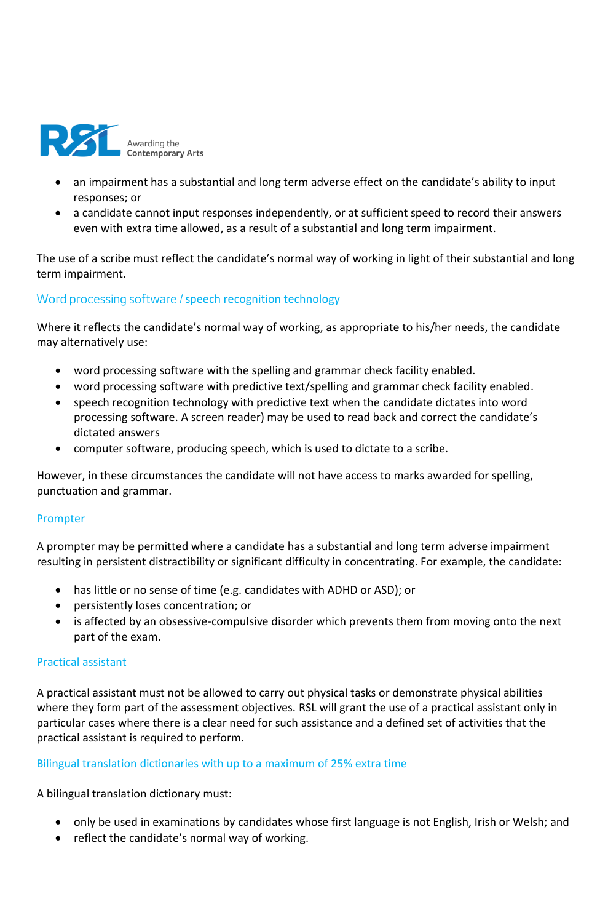

- an impairment has a substantial and long term adverse effect on the candidate's ability to input responses; or
- a candidate cannot input responses independently, or at sufficient speed to record their answers even with extra time allowed, as a result of a substantial and long term impairment.

The use of a scribe must reflect the candidate's normal way of working in light of their substantial and long term impairment.

## Word processing software / speech recognition technology

Where it reflects the candidate's normal way of working, as appropriate to his/her needs, the candidate may alternatively use:

- word processing software with the spelling and grammar check facility enabled.
- word processing software with predictive text/spelling and grammar check facility enabled.
- speech recognition technology with predictive text when the candidate dictates into word processing software. A screen reader) may be used to read back and correct the candidate's dictated answers
- computer software, producing speech, which is used to dictate to a scribe.

However, in these circumstances the candidate will not have access to marks awarded for spelling, punctuation and grammar.

### Prompter

A prompter may be permitted where a candidate has a substantial and long term adverse impairment resulting in persistent distractibility or significant difficulty in concentrating. For example, the candidate:

- has little or no sense of time (e.g. candidates with ADHD or ASD); or
- persistently loses concentration; or
- is affected by an obsessive-compulsive disorder which prevents them from moving onto the next part of the exam.

### Practical assistant

A practical assistant must not be allowed to carry out physical tasks or demonstrate physical abilities where they form part of the assessment objectives. RSL will grant the use of a practical assistant only in particular cases where there is a clear need for such assistance and a defined set of activities that the practical assistant is required to perform.

### Bilingual translation dictionaries with up to a maximum of 25% extra time

A bilingual translation dictionary must:

- only be used in examinations by candidates whose first language is not English, Irish or Welsh; and
- reflect the candidate's normal way of working.